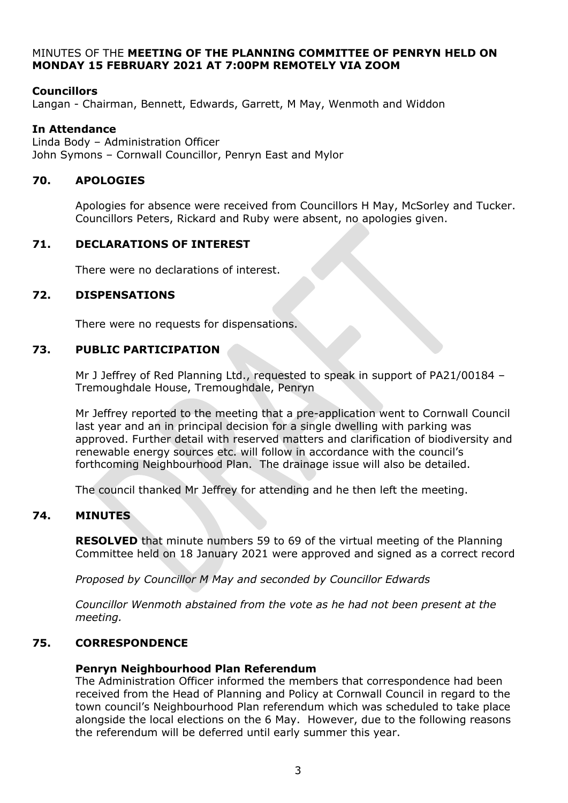#### MINUTES OF THE **MEETING OF THE PLANNING COMMITTEE OF PENRYN HELD ON MONDAY 15 FEBRUARY 2021 AT 7:00PM REMOTELY VIA ZOOM**

## **Councillors**

Langan - Chairman, Bennett, Edwards, Garrett, M May, Wenmoth and Widdon

### **In Attendance**

Linda Body – Administration Officer John Symons – Cornwall Councillor, Penryn East and Mylor

### **70. APOLOGIES**

Apologies for absence were received from Councillors H May, McSorley and Tucker. Councillors Peters, Rickard and Ruby were absent, no apologies given.

## **71. DECLARATIONS OF INTEREST**

There were no declarations of interest.

## **72. DISPENSATIONS**

There were no requests for dispensations.

#### **73. PUBLIC PARTICIPATION**

Mr J Jeffrey of Red Planning Ltd., requested to speak in support of PA21/00184 – Tremoughdale House, Tremoughdale, Penryn

Mr Jeffrey reported to the meeting that a pre-application went to Cornwall Council last year and an in principal decision for a single dwelling with parking was approved. Further detail with reserved matters and clarification of biodiversity and renewable energy sources etc. will follow in accordance with the council's forthcoming Neighbourhood Plan. The drainage issue will also be detailed.

The council thanked Mr Jeffrey for attending and he then left the meeting.

#### **74. MINUTES**

**RESOLVED** that minute numbers 59 to 69 of the virtual meeting of the Planning Committee held on 18 January 2021 were approved and signed as a correct record

*Proposed by Councillor M May and seconded by Councillor Edwards*

*Councillor Wenmoth abstained from the vote as he had not been present at the meeting.*

# **75. CORRESPONDENCE**

#### **Penryn Neighbourhood Plan Referendum**

The Administration Officer informed the members that correspondence had been received from the Head of Planning and Policy at Cornwall Council in regard to the town council's Neighbourhood Plan referendum which was scheduled to take place alongside the local elections on the 6 May. However, due to the following reasons the referendum will be deferred until early summer this year.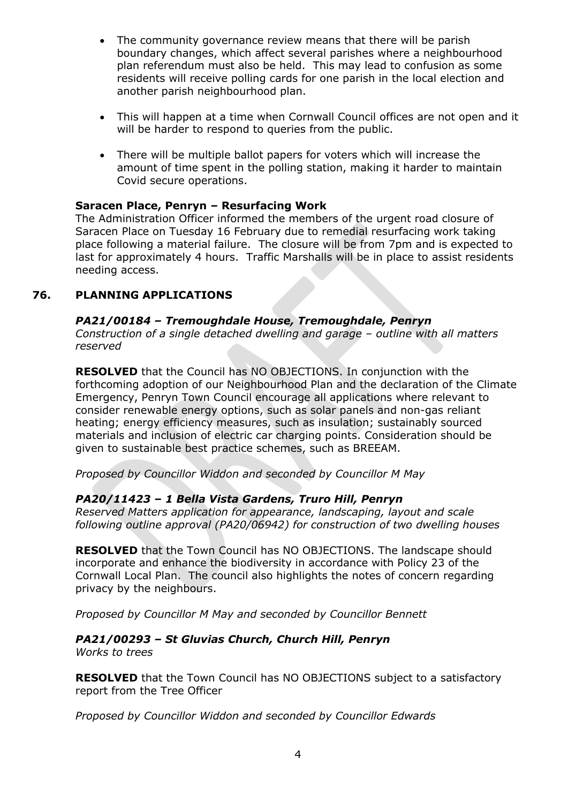- The community governance review means that there will be parish boundary changes, which affect several parishes where a neighbourhood plan referendum must also be held. This may lead to confusion as some residents will receive polling cards for one parish in the local election and another parish neighbourhood plan.
- This will happen at a time when Cornwall Council offices are not open and it will be harder to respond to queries from the public.
- There will be multiple ballot papers for voters which will increase the amount of time spent in the polling station, making it harder to maintain Covid secure operations.

## **Saracen Place, Penryn – Resurfacing Work**

The Administration Officer informed the members of the urgent road closure of Saracen Place on Tuesday 16 February due to remedial resurfacing work taking place following a material failure. The closure will be from 7pm and is expected to last for approximately 4 hours. Traffic Marshalls will be in place to assist residents needing access.

# **76. PLANNING APPLICATIONS**

## *PA21/00184 – Tremoughdale House, Tremoughdale, Penryn*

*Construction of a single detached dwelling and garage – outline with all matters reserved*

**RESOLVED** that the Council has NO OBJECTIONS. In conjunction with the forthcoming adoption of our Neighbourhood Plan and the declaration of the Climate Emergency, Penryn Town Council encourage all applications where relevant to consider renewable energy options, such as solar panels and non-gas reliant heating; energy efficiency measures, such as insulation; sustainably sourced materials and inclusion of electric car charging points. Consideration should be given to sustainable best practice schemes, such as BREEAM.

*Proposed by Councillor Widdon and seconded by Councillor M May*

#### *PA20/11423 – 1 Bella Vista Gardens, Truro Hill, Penryn*

*Reserved Matters application for appearance, landscaping, layout and scale following outline approval (PA20/06942) for construction of two dwelling houses*

**RESOLVED** that the Town Council has NO OBJECTIONS. The landscape should incorporate and enhance the biodiversity in accordance with Policy 23 of the Cornwall Local Plan. The council also highlights the notes of concern regarding privacy by the neighbours.

*Proposed by Councillor M May and seconded by Councillor Bennett*

*PA21/00293 – St Gluvias Church, Church Hill, Penryn Works to trees*

**RESOLVED** that the Town Council has NO OBJECTIONS subject to a satisfactory report from the Tree Officer

*Proposed by Councillor Widdon and seconded by Councillor Edwards*